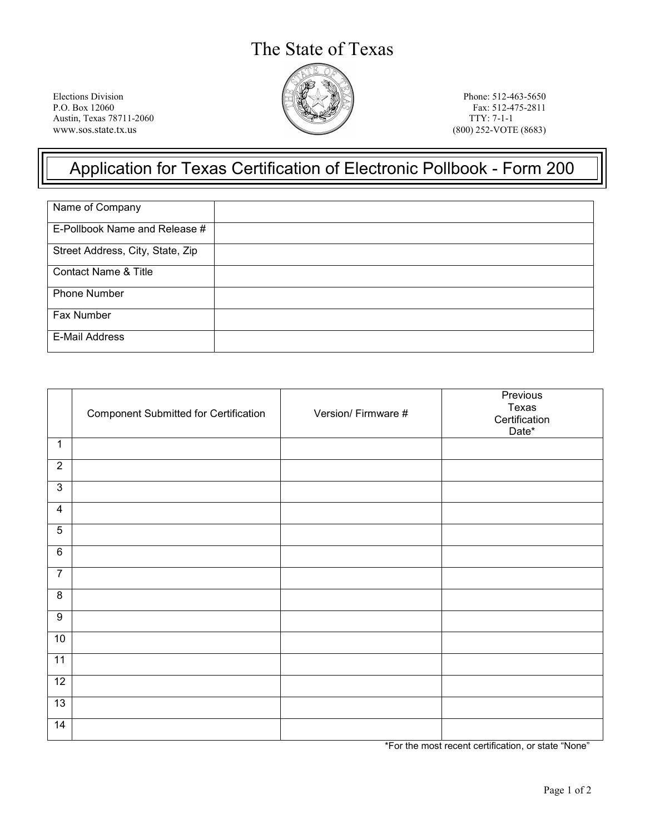## The State of Texas



Elections Division Phone: 512-463-5650 P.O. Box 12060 Phone: 512-475-2811 Austin, Texas 78711-2060 www.sos.state.tx.us (800) 252-VOTE (8683)

Fax: 512-475-2811<br>TTY: 7-1-1

## Application for Texas Certification of Electronic Pollbook - Form 200

| Name of Company                  |  |
|----------------------------------|--|
| E-Pollbook Name and Release #    |  |
| Street Address, City, State, Zip |  |
| <b>Contact Name &amp; Title</b>  |  |
| Phone Number                     |  |
| Fax Number                       |  |
| <b>E-Mail Address</b>            |  |

|                  | <b>Component Submitted for Certification</b> | Version/Firmware # | Previous<br>Texas<br>Certification<br>Date* |
|------------------|----------------------------------------------|--------------------|---------------------------------------------|
| $\overline{1}$   |                                              |                    |                                             |
| $\overline{2}$   |                                              |                    |                                             |
| $\mathbf{3}$     |                                              |                    |                                             |
| $\overline{4}$   |                                              |                    |                                             |
| $\sqrt{5}$       |                                              |                    |                                             |
| $\overline{6}$   |                                              |                    |                                             |
| $\overline{7}$   |                                              |                    |                                             |
| $\overline{8}$   |                                              |                    |                                             |
| $\boldsymbol{9}$ |                                              |                    |                                             |
| 10               |                                              |                    |                                             |
| $\overline{11}$  |                                              |                    |                                             |
| $\overline{12}$  |                                              |                    |                                             |
| 13               |                                              |                    |                                             |
| $\overline{14}$  |                                              |                    |                                             |

\*For the most recent certification, or state "None"